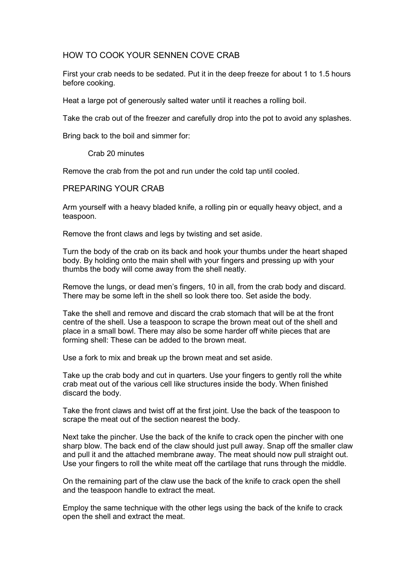## HOW TO COOK YOUR SENNEN COVE CRAB

First your crab needs to be sedated. Put it in the deep freeze for about 1 to 1.5 hours before cooking.

Heat a large pot of generously salted water until it reaches a rolling boil.

Take the crab out of the freezer and carefully drop into the pot to avoid any splashes.

Bring back to the boil and simmer for:

Crab 20 minutes

Remove the crab from the pot and run under the cold tap until cooled.

## PREPARING YOUR CRAB

Arm yourself with a heavy bladed knife, a rolling pin or equally heavy object, and a teaspoon.

Remove the front claws and legs by twisting and set aside.

Turn the body of the crab on its back and hook your thumbs under the heart shaped body. By holding onto the main shell with your fingers and pressing up with your thumbs the body will come away from the shell neatly.

Remove the lungs, or dead men's fingers, 10 in all, from the crab body and discard. There may be some left in the shell so look there too. Set aside the body.

Take the shell and remove and discard the crab stomach that will be at the front centre of the shell. Use a teaspoon to scrape the brown meat out of the shell and place in a small bowl. There may also be some harder off white pieces that are forming shell: These can be added to the brown meat.

Use a fork to mix and break up the brown meat and set aside.

Take up the crab body and cut in quarters. Use your fingers to gently roll the white crab meat out of the various cell like structures inside the body. When finished discard the body.

Take the front claws and twist off at the first joint. Use the back of the teaspoon to scrape the meat out of the section nearest the body.

Next take the pincher. Use the back of the knife to crack open the pincher with one sharp blow. The back end of the claw should just pull away. Snap off the smaller claw and pull it and the attached membrane away. The meat should now pull straight out. Use your fingers to roll the white meat off the cartilage that runs through the middle.

On the remaining part of the claw use the back of the knife to crack open the shell and the teaspoon handle to extract the meat.

Employ the same technique with the other legs using the back of the knife to crack open the shell and extract the meat.